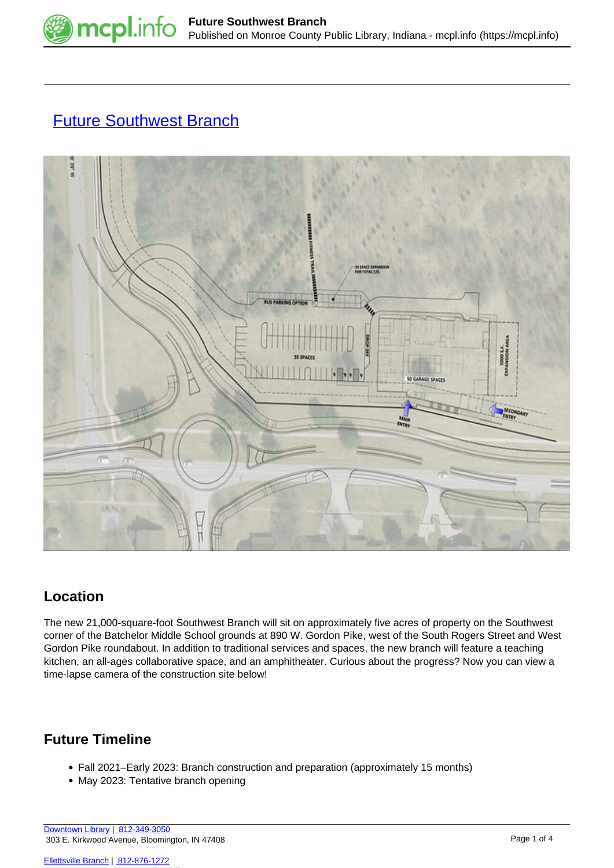

# **[Future Southwest Branch](https://mcpl.info/southwest)**



## **Location**

The new 21,000-square-foot Southwest Branch will sit on approximately five acres of property on the Southwest corner of the Batchelor Middle School grounds at 890 W. Gordon Pike, west of the South Rogers Street and West Gordon Pike roundabout. In addition to traditional services and spaces, the new branch will feature a teaching kitchen, an all-ages collaborative space, and an amphitheater. Curious about the progress? Now you can view a time-lapse camera of the construction site below!

### **Future Timeline**

- Fall 2021–Early 2023: Branch construction and preparation (approximately 15 months)
- May 2023: Tentative branch opening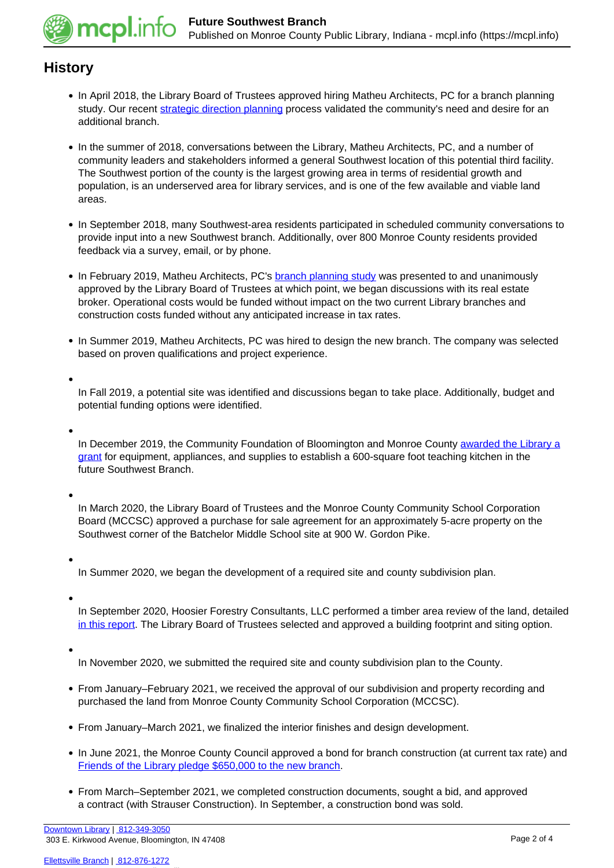

#### **History**

- In April 2018, the Library Board of Trustees approved hiring Matheu Architects, PC for a branch planning study. Our recent [strategic direction planning](https://mcpl.info/stratplan) process validated the community's need and desire for an additional branch.
- In the summer of 2018, conversations between the Library, Matheu Architects, PC, and a number of community leaders and stakeholders informed a general Southwest location of this potential third facility. The Southwest portion of the county is the largest growing area in terms of residential growth and population, is an underserved area for library services, and is one of the few available and viable land areas.
- In September 2018, many Southwest-area residents participated in scheduled community conversations to provide input into a new Southwest branch. Additionally, over 800 Monroe County residents provided feedback via a survey, email, or by phone.
- In February 2019, Matheu Architects, PC's **branch planning study** was presented to and unanimously approved by the Library Board of Trustees at which point, we began discussions with its real estate broker. Operational costs would be funded without impact on the two current Library branches and construction costs funded without any anticipated increase in tax rates.
- In Summer 2019, Matheu Architects, PC was hired to design the new branch. The company was selected based on proven qualifications and project experience.

In Fall 2019, a potential site was identified and discussions began to take place. Additionally, budget and potential funding options were identified.

In December 2019, the Community Foundation of Bloomington and Monroe County [awarded the Library a](https://mcpl.info/blogs/love-reading/library-receives-grant-future-southwest-branch-teaching-kitchen) [grant](https://mcpl.info/blogs/love-reading/library-receives-grant-future-southwest-branch-teaching-kitchen) for equipment, appliances, and supplies to establish a 600-square foot teaching kitchen in the future Southwest Branch.

In March 2020, the Library Board of Trustees and the Monroe County Community School Corporation Board (MCCSC) approved a purchase for sale agreement for an approximately 5-acre property on the Southwest corner of the Batchelor Middle School site at 900 W. Gordon Pike.

In Summer 2020, we began the development of a required site and county subdivision plan.

In September 2020, Hoosier Forestry Consultants, LLC performed a timber area review of the land, detailed [in this report.](http://mcpl.info/sites/default/files/images/mcpl_timber_area_report_2020.pdf) The Library Board of Trustees selected and approved a building footprint and siting option.

In November 2020, we submitted the required site and county subdivision plan to the County.

- From January–February 2021, we received the approval of our subdivision and property recording and purchased the land from Monroe County Community School Corporation (MCCSC).
- From January–March 2021, we finalized the interior finishes and design development.
- In June 2021, the Monroe County Council approved a bond for branch construction (at current tax rate) and [Friends of the Library pledge \\$650,000 to the new branch.](https://mcpl.info/blogs/think-library/friends-library-pledge-650000-new-branch)
- From March–September 2021, we completed construction documents, sought a bid, and approved a contract (with Strauser Construction). In September, a construction bond was sold.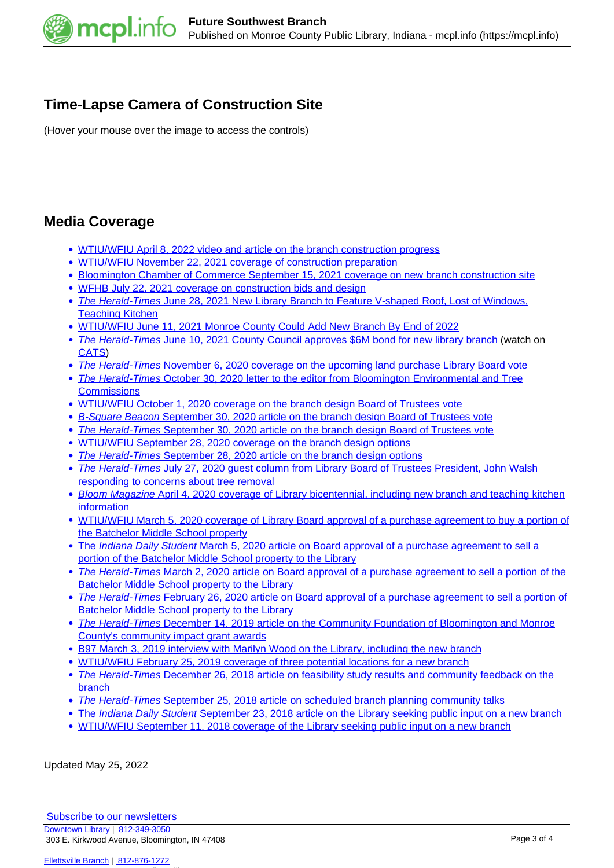

### **Time-Lapse Camera of Construction Site**

(Hover your mouse over the image to access the controls)

#### **Media Coverage**

- [WTIU/WFIU April 8, 2022 video and article on the branch construction progress](https://indianapublicmedia.org/news/monroe-county-public-library-third-branch-under-contraction,-set-to-be-completed-early-2023.php)
- [WTIU/WFIU November 22, 2021 coverage of construction preparation](https://indianapublicmedia.org/news/new-monroe-county-library-to-open-early-2023.php)
- [Bloomington Chamber of Commerce September 15, 2021 coverage on new branch construction site](https://www.chamberbloomington.org/advocacy-matters/monroe-county-public-library-board-to-vote-on-new-branch-construction-contract)
- [WFHB July 22, 2021 coverage on construction bids and design](https://wfhb.org/news/wfhb-local-news-july-22nd-2021/)
- [The Herald-Times](https://infoweb.newsbank.com/apps/news/openurl?ctx_ver=z39.88-2004&rft_id=info%3Asid/infoweb.newsbank.com&svc_dat=AWNB&req_dat=0DD3BE21DE64C6C0&rft_val_format=info%3Aofi/fmt%3Akev%3Amtx%3Actx&rft_dat=document_id%3Anews%252F183674C70167E0E8) [June 28, 2021 New Library Branch to Feature V-shaped Roof, Lost of Windows,](https://infoweb.newsbank.com/apps/news/openurl?ctx_ver=z39.88-2004&rft_id=info%3Asid/infoweb.newsbank.com&svc_dat=AWNB&req_dat=0DD3BE21DE64C6C0&rft_val_format=info%3Aofi/fmt%3Akev%3Amtx%3Actx&rft_dat=document_id%3Anews%252F183674C70167E0E8) [Teaching Kitchen](https://infoweb.newsbank.com/apps/news/openurl?ctx_ver=z39.88-2004&rft_id=info%3Asid/infoweb.newsbank.com&svc_dat=AWNB&req_dat=0DD3BE21DE64C6C0&rft_val_format=info%3Aofi/fmt%3Akev%3Amtx%3Actx&rft_dat=document_id%3Anews%252F183674C70167E0E8)
- [WTIU/WFIU June 11, 2021 Monroe County Could Add New Branch By End of 2022](https://indianapublicmedia.org/news/monroe-county-could-add-new-library-by-end-of-2022.php)
- [The Herald-Times](https://infoweb.newsbank.com/apps/news/openurl?ctx_ver=z39.88-2004&rft_id=info%3Asid/infoweb.newsbank.com&svc_dat=AWNB&req_dat=0DD3BE21DE64C6C0&rft_val_format=info%3Aofi/fmt%3Akev%3Amtx%3Actx&rft_dat=document_id%3Anews%252F1830ACAF8F5FBEC8) [June 10, 2021 County Council approves \\$6M bond for new library branch](https://infoweb.newsbank.com/apps/news/openurl?ctx_ver=z39.88-2004&rft_id=info%3Asid/infoweb.newsbank.com&svc_dat=AWNB&req_dat=0DD3BE21DE64C6C0&rft_val_format=info%3Aofi/fmt%3Akev%3Amtx%3Actx&rft_dat=document_id%3Anews%252F1830ACAF8F5FBEC8) (watch on [CATS\)](https://catstv.net/m.php?q=9783&t=8799)
- [The Herald-Times](https://infoweb.newsbank.com/apps/news/openurl?ctx_ver=z39.88-2004&rft_id=info%3Asid/infoweb.newsbank.com&svc_dat=AWNB&req_dat=0DD3BE21DE64C6C0&rft_val_format=info%3Aofi/fmt%3Akev%3Amtx%3Actx&rft_dat=document_id%3Anews%252F17E9557BEE665390) [November 6, 2020 coverage on the upcoming land purchase Library Board vote](https://infoweb.newsbank.com/apps/news/openurl?ctx_ver=z39.88-2004&rft_id=info%3Asid/infoweb.newsbank.com&svc_dat=AWNB&req_dat=0DD3BE21DE64C6C0&rft_val_format=info%3Aofi/fmt%3Akev%3Amtx%3Actx&rft_dat=document_id%3Anews%252F17E9557BEE665390)
- [The Herald-Times](https://infoweb.newsbank.com/apps/news/openurl?ctx_ver=z39.88-2004&rft_id=info%3Asid/infoweb.newsbank.com&svc_dat=AWNB&req_dat=0DD3BE21DE64C6C0&rft_val_format=info%3Aofi/fmt%3Akev%3Amtx%3Actx&rft_dat=document_id%3Anews%252F17E70D94DEE9F0C0) [October 30, 2020 letter to the editor from Bloomington Environmental and Tree](https://infoweb.newsbank.com/apps/news/openurl?ctx_ver=z39.88-2004&rft_id=info%3Asid/infoweb.newsbank.com&svc_dat=AWNB&req_dat=0DD3BE21DE64C6C0&rft_val_format=info%3Aofi/fmt%3Akev%3Amtx%3Actx&rft_dat=document_id%3Anews%252F17E70D94DEE9F0C0) **[Commissions](https://infoweb.newsbank.com/apps/news/openurl?ctx_ver=z39.88-2004&rft_id=info%3Asid/infoweb.newsbank.com&svc_dat=AWNB&req_dat=0DD3BE21DE64C6C0&rft_val_format=info%3Aofi/fmt%3Akev%3Amtx%3Actx&rft_dat=document_id%3Anews%252F17E70D94DEE9F0C0)**
- [WTIU/WFIU October 1, 2020 coverage on the branch design Board of Trustees vote](https://indianapublicmedia.org/news/mcpl-board-of-trustees-votes-on-building-design-for-new-branch,-includes-underground-parking-garage.php)
- **[B-Square Beacon](https://bsquarebeacon.com/2020/09/30/library-board-votes-to-spend-more-cut-less-forest-for-new-branch/) [September 30, 2020 article on the branch design Board of Trustees vote](https://bsquarebeacon.com/2020/09/30/library-board-votes-to-spend-more-cut-less-forest-for-new-branch/)**
- [The Herald-Times](https://infoweb.newsbank.com/apps/news/openurl?ctx_ver=z39.88-2004&rft_id=info%3Asid/infoweb.newsbank.com&svc_dat=AWNB&req_dat=0DD3BE21DE64C6C0&rft_val_format=info%3Aofi/fmt%3Akev%3Amtx%3Actx&rft_dat=document_id%3Anews%252F17DD72AB62C80998) [September 30, 2020 article on the branch design Board of Trustees vote](https://infoweb.newsbank.com/apps/news/openurl?ctx_ver=z39.88-2004&rft_id=info%3Asid/infoweb.newsbank.com&svc_dat=AWNB&req_dat=0DD3BE21DE64C6C0&rft_val_format=info%3Aofi/fmt%3Akev%3Amtx%3Actx&rft_dat=document_id%3Anews%252F17DD72AB62C80998)
- [WTIU/WFIU September 28, 2020 coverage on the branch design options](https://indianapublicmedia.org/news/monroe-county-public-library-trustees-to-vote-on-southwest-branch-design.php)
- [The Herald-Times](https://infoweb.newsbank.com/apps/news/openurl?ctx_ver=z39.88-2004&rft_id=info%3Asid/infoweb.newsbank.com&svc_dat=AWNB&req_dat=0DD3BE21DE64C6C0&rft_val_format=info%3Aofi/fmt%3Akev%3Amtx%3Actx&rft_dat=document_id%3Anews%252F17DC72CA4FCB3A68) [September 28, 2020 article on the branch design options](https://infoweb.newsbank.com/apps/news/openurl?ctx_ver=z39.88-2004&rft_id=info%3Asid/infoweb.newsbank.com&svc_dat=AWNB&req_dat=0DD3BE21DE64C6C0&rft_val_format=info%3Aofi/fmt%3Akev%3Amtx%3Actx&rft_dat=document_id%3Anews%252F17DC72CA4FCB3A68)
- [The Herald-Times](https://infoweb.newsbank.com/apps/news/document-view?p=AWNB&t=&sort=YMD_date%3AD&fld-base-0=alltext&maxresults=20&val-base-0=%22Column%3A%20Library%20official%20responds%20to%20concerns%20about%20tree%20removal%22&docref=news/17C7B2CDEEA34138) [July 27, 2020 guest column from Library Board of Trustees President, John Walsh](https://infoweb.newsbank.com/apps/news/document-view?p=AWNB&t=&sort=YMD_date%3AD&fld-base-0=alltext&maxresults=20&val-base-0=%22Column%3A%20Library%20official%20responds%20to%20concerns%20about%20tree%20removal%22&docref=news/17C7B2CDEEA34138) [responding to concerns about tree removal](https://infoweb.newsbank.com/apps/news/document-view?p=AWNB&t=&sort=YMD_date%3AD&fld-base-0=alltext&maxresults=20&val-base-0=%22Column%3A%20Library%20official%20responds%20to%20concerns%20about%20tree%20removal%22&docref=news/17C7B2CDEEA34138)
- [Bloom Magazine](https://www.magbloom.com/2020/04/monroe-county-public-library-celebrates-200-years-of-literacy/) [April 4, 2020 coverage of Library bicentennial, including new branch and teaching kitchen](https://www.magbloom.com/2020/04/monroe-county-public-library-celebrates-200-years-of-literacy/) [information](https://www.magbloom.com/2020/04/monroe-county-public-library-celebrates-200-years-of-literacy/)
- [WTIU/WFIU March 5, 2020 coverage of Library Board approval of a purchase agreement to buy a portion of](https://indianapublicmedia.org/news/monroe-co.-library-identifies-possible-sites-for-new-branch.php) [the Batchelor Middle School property](https://indianapublicmedia.org/news/monroe-co.-library-identifies-possible-sites-for-new-branch.php)
- [The](https://www.idsnews.com/article/2020/03/monroe-county-public-library-approves-new-southwest-branch) [Indiana Daily Student](https://www.idsnews.com/article/2020/03/monroe-county-public-library-approves-new-southwest-branch) [March 5, 2020 article on Board approval of a purchase agreement to sell a](https://www.idsnews.com/article/2020/03/monroe-county-public-library-approves-new-southwest-branch) [portion of the Batchelor Middle School property to the Library](https://www.idsnews.com/article/2020/03/monroe-county-public-library-approves-new-southwest-branch)
- [The Herald-Times](https://infoweb.newsbank.com/apps/news/openurl?ctx_ver=z39.88-2004&rft_id=info%3Asid/infoweb.newsbank.com&svc_dat=AWNB&req_dat=0DD3BE21DE64C6C0&rft_val_format=info%3Aofi/fmt%3Akev%3Amtx%3Actx&rft_dat=document_id%3Anews%252F1797466145498400) [March 2, 2020 article on Board approval of a purchase agreement to sell a portion of the](https://infoweb.newsbank.com/apps/news/openurl?ctx_ver=z39.88-2004&rft_id=info%3Asid/infoweb.newsbank.com&svc_dat=AWNB&req_dat=0DD3BE21DE64C6C0&rft_val_format=info%3Aofi/fmt%3Akev%3Amtx%3Actx&rft_dat=document_id%3Anews%252F1797466145498400) [Batchelor Middle School property to the Library](https://infoweb.newsbank.com/apps/news/openurl?ctx_ver=z39.88-2004&rft_id=info%3Asid/infoweb.newsbank.com&svc_dat=AWNB&req_dat=0DD3BE21DE64C6C0&rft_val_format=info%3Aofi/fmt%3Akev%3Amtx%3Actx&rft_dat=document_id%3Anews%252F1797466145498400)
- [The Herald-Times](https://infoweb.newsbank.com/apps/news/openurl?ctx_ver=z39.88-2004&rft_id=info%3Asid/infoweb.newsbank.com&svc_dat=AWNB&req_dat=0DD3BE21DE64C6C0&rft_val_format=info%3Aofi/fmt%3Akev%3Amtx%3Actx&rft_dat=document_id%3Anews%252F1795A2EF0A2D6090) [February 26, 2020 article on Board approval of a purchase agreement to sell a portion of](https://infoweb.newsbank.com/apps/news/openurl?ctx_ver=z39.88-2004&rft_id=info%3Asid/infoweb.newsbank.com&svc_dat=AWNB&req_dat=0DD3BE21DE64C6C0&rft_val_format=info%3Aofi/fmt%3Akev%3Amtx%3Actx&rft_dat=document_id%3Anews%252F1795A2EF0A2D6090) [Batchelor Middle School property to the Library](https://infoweb.newsbank.com/apps/news/openurl?ctx_ver=z39.88-2004&rft_id=info%3Asid/infoweb.newsbank.com&svc_dat=AWNB&req_dat=0DD3BE21DE64C6C0&rft_val_format=info%3Aofi/fmt%3Akev%3Amtx%3Actx&rft_dat=document_id%3Anews%252F1795A2EF0A2D6090)
- [The Herald-Times](https://infoweb.newsbank.com/apps/news/openurl?ctx_ver=z39.88-2004&rft_id=info%3Asid/infoweb.newsbank.com&svc_dat=AWNB&req_dat=0DD3BE21DE64C6C0&rft_val_format=info%3Aofi/fmt%3Akev%3Amtx%3Actx&rft_dat=document_id%3Anews%252F177D43A09B6565B0) [December 14, 2019 article on the Community Foundation of Bloomington and Monroe](https://infoweb.newsbank.com/apps/news/openurl?ctx_ver=z39.88-2004&rft_id=info%3Asid/infoweb.newsbank.com&svc_dat=AWNB&req_dat=0DD3BE21DE64C6C0&rft_val_format=info%3Aofi/fmt%3Akev%3Amtx%3Actx&rft_dat=document_id%3Anews%252F177D43A09B6565B0) [County's community impact grant awards](https://infoweb.newsbank.com/apps/news/openurl?ctx_ver=z39.88-2004&rft_id=info%3Asid/infoweb.newsbank.com&svc_dat=AWNB&req_dat=0DD3BE21DE64C6C0&rft_val_format=info%3Aofi/fmt%3Akev%3Amtx%3Actx&rft_dat=document_id%3Anews%252F177D43A09B6565B0)
- [B97 March 3, 2019 interview with Marilyn Wood on the Library, including the new branch](http://wbwb.com/podcasting/watching-bloomington?archive=2019-03)
- [WTIU/WFIU February 25, 2019 coverage of three potential locations for a new branch](https://indianapublicmedia.org/news/monroe-co.-library-identifies-possible-sites-for-new-branch.php)
- [The Herald-Times](https://infoweb.newsbank.com/apps/news/openurl?ctx_ver=z39.88-2004&rft_id=info%3Asid/infoweb.newsbank.com&svc_dat=AWNB&req_dat=0DD3BE21DE64C6C0&rft_val_format=info%3Aofi/fmt%3Akev%3Amtx%3Actx&rft_dat=document_id%3Anews%252F1708DF930344DA60) [December 26, 2018 article on feasibility study results and community feedback on the](https://infoweb.newsbank.com/apps/news/openurl?ctx_ver=z39.88-2004&rft_id=info%3Asid/infoweb.newsbank.com&svc_dat=AWNB&req_dat=0DD3BE21DE64C6C0&rft_val_format=info%3Aofi/fmt%3Akev%3Amtx%3Actx&rft_dat=document_id%3Anews%252F1708DF930344DA60) [branch](https://infoweb.newsbank.com/apps/news/openurl?ctx_ver=z39.88-2004&rft_id=info%3Asid/infoweb.newsbank.com&svc_dat=AWNB&req_dat=0DD3BE21DE64C6C0&rft_val_format=info%3Aofi/fmt%3Akev%3Amtx%3Actx&rft_dat=document_id%3Anews%252F1708DF930344DA60)
- [The Herald-Times](https://infoweb.newsbank.com/apps/news/openurl?ctx_ver=z39.88-2004&rft_id=info%3Asid/infoweb.newsbank.com&svc_dat=AWNB&req_dat=0DD3BE21DE64C6C0&rft_val_format=info%3Aofi/fmt%3Akev%3Amtx%3Actx&rft_dat=document_id%3Anews%252F16E7F737977DF250) [September 25, 2018 article on scheduled branch planning community talks](https://infoweb.newsbank.com/apps/news/openurl?ctx_ver=z39.88-2004&rft_id=info%3Asid/infoweb.newsbank.com&svc_dat=AWNB&req_dat=0DD3BE21DE64C6C0&rft_val_format=info%3Aofi/fmt%3Akev%3Amtx%3Actx&rft_dat=document_id%3Anews%252F16E7F737977DF250)
- [The](https://www.idsnews.com/article/2018/09/monroe-county-public-library-seeks-input-on-new-branch) [Indiana Daily Student](https://www.idsnews.com/article/2018/09/monroe-county-public-library-seeks-input-on-new-branch) [September 23, 2018 article on the Library seeking public input on a new branch](https://www.idsnews.com/article/2018/09/monroe-county-public-library-seeks-input-on-new-branch)
- [WTIU/WFIU September 11, 2018 coverage of the Library seeking public input on a new branch](https://indianapublicmedia.org/news/monroe-co.-library-getting-public-input-on-proposed-new-branch.php)

Updated May 25, 2022

**[Subscribe to our newsletters](https://mcpl.info/geninfo/subscribe-think-library-newsletter)** [Downtown Library](https://mcpl.info/geninfo/downtown-library) | [812-349-3050](tel:812-349-3050) 303 E. Kirkwood Avenue, Bloomington, IN 47408